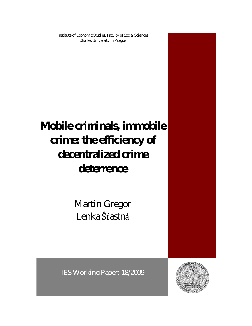Institute of Economic Studies, Faculty of Social Sciences Charles University in Prague

# **Mobile criminals, immobile crime: the efficiency of decentralized crime deterrence**

Martin Gregor Lenka Šťastná

IES Working Paper: 18/2009

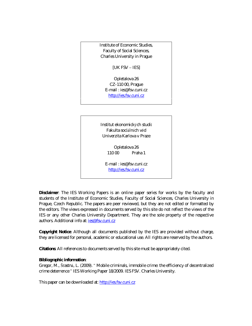Institute of Economic Studies, Faculty of Social Sciences, Charles University in Prague

[UK FSV – IES]

Opletalova 26 CZ-110 00, Prague E-mail : ies@fsv.cuni.cz http://ies.fsv.cuni.cz

Institut ekonomický ch studií Fakulta sociálních věd Univerzita Karlova v Praze

> Opletalova 26 110 00 Praha 1

E-mail : ies@fsv.cuni.cz http://ies.fsv.cuni.cz

**Disclaimer**: The IES Working Papers is an online paper series for works by the faculty and students of the Institute of Economic Studies, Faculty of Social Sciences, Charles University in Prague, Czech Republic. The papers are peer reviewed, but they are *not* edited or formatted by the editors. The views expressed in documents served by this site do not reflect the views of the IES or any other Charles University Department. They are the sole property of the respective authors. Additional info at: *ies@fsv.cuni.cz* 

**Copyright Notice**: Although all documents published by the IES are provided without charge, they are licensed for personal, academic or educational use. All rights are reserved by the authors.

**Citations**: All references to documents served by this site must be appropriately cited.

**Bibliographic information**:

Gregor, M., Šťastná, L. (2009). " Mobile criminals, immobile crime: the efficiency of decentralized crime deterrence " IES Working Paper 18/2009. IES FSV. Charles University.

This paper can be downloaded at: http://ies.fsv.cuni.cz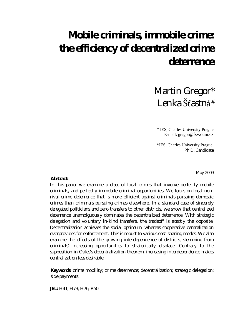# **Mobile criminals, immobile crime: the efficiency of decentralized crime deterrence**

Martin Gregor\* Lenka Šťastná#

\* IES, Charles University Prague E-mail: gregor@fsv.cuni.cz

# IES, Charles University Prague, Ph.D. Candidate

May 2009

**Abstract:**

In this paper we examine a class of local crimes that involve perfectly mobile criminals, and perfectly immobile criminal opportunities. We focus on local nonrival crime deterrence that is more efficient against criminals pursuing domestic crimes than criminals pursuing crimes elsewhere. In a standard case of sincerely delegated politicians and zero transfers to other districts, we show that centralized deterrence unambiguously dominates the decentralized deterrence. With strategic delegation and voluntary in-kind transfers, the tradeoff is exactly the opposite: Decentralization achieves the social optimum, whereas cooperative centralization overprovides for enforcement. This is robust to various cost-sharing modes. We also examine the effects of the growing interdependence of districts, stemming from criminals' increasing opportunities to strategically displace. Contrary to the supposition in Oates's decentralization theorem, increasing interdependence makes centralization less desirable.

**Keywords**: crime mobility; crime deterrence; decentralization; strategic delegation; side payments

**JEL:** H41; H73; H76; R50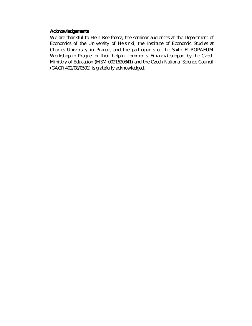**Acknowledgements**

We are thankful to Hein Roelfsema, the seminar audiences at the Department of Economics of the University of Helsinki, the Institute of Economic Studies at Charles University in Prague, and the participants of the Sixth EUROPAEUM Workshop in Prague for their helpful comments. Financial support by the Czech Ministry of Education (MSM 0021620841) and the Czech National Science Council (GACR 402/08/0501) is gratefully acknowledged.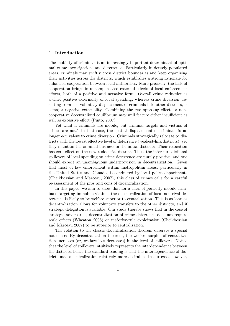### 1. Introduction

The mobility of criminals is an increasingly important determinant of optimal crime investigations and deterrence. Particularly in densely populated areas, criminals may swiftly cross district boundaries and keep organizing their activities across the districts, which establishes a strong rationale for enhanced cooperation between local authorities. More precisely, the lack of cooperation brings in uncompensated external effects of local enforcement efforts, both of a positive and negative form. Overall crime reduction is a chief positive externality of local spending, whereas crime diversion, resulting from the voluntary displacement of criminals into other districts, is a major negative externality. Combining the two opposing effects, a noncooperative decentralized equilibrium may well feature either insufficient as well as excessive effort (Pinto, 2007).

Yet what if criminals are mobile, but criminal targets and victims of crimes are not? In that case, the spatial displacement of criminals is no longer equivalent to crime diversion. Criminals strategically relocate to districts with the lowest effective level of deterrence (weakest-link districts), yet they maintain the criminal business in the initial districts. Their relocation has zero effect on the new residential district. Thus, the inter-jurisdictional spillovers of local spending on crime deterrence are purely positive, and one should expect an unambiguous underprovision in decentralization. Given that most of law enforcement within metropolitan areas, particularly in the United States and Canada, is conducted by local police departments (Cheikbossian and Marceau, 2007), this class of crimes calls for a careful re-assessment of the pros and cons of decentralization.

In this paper, we aim to show that for a class of perfectly mobile criminals targeting immobile victims, the decentralization of local non-rival deterrence is likely to be welfare superior to centralization. This is as long as decentralization allows for voluntary transfers to the other districts, and if strategic delegation is available. Our study thereby shows that in the case of strategic adversaries, decentralization of crime deterrence does not require scale effects (Wheaton 2006) or majority-rule exploitation (Cheikbossian and Marceau 2007) to be superior to centralization.

The relation to the classic decentralization theorem deserves a special note here: By decentralization theorem, the welfare surplus of centralization increases (or, welfare loss decreases) in the level of spillovers. Notice that the level of spillovers intuitively represents the interdependence between the districts, hence the standard reading is that the interdependence of districts makes centralization relatively more desirable. In our case, however,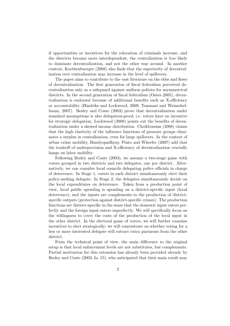if opportunities or incentives for the relocation of criminals increase, and the districts become more interdependent, the centralization is less likely to dominate decentralization, and not the other way around. In another context, Koethenbuerger (2008) also finds that the superiority of decentralization over centralization may increase in the level of spillovers.

The paper aims to contribute to the vast literature on the ebbs and flows of decentralization. The first generation of fiscal federalism perceived decentralization only as a safeguard against uniform policies for asymmetrical districts. In the second generation of fiscal federalism (Oates 2005), decentralization is endorsed because of additional benefits such as X-efficiency or accountability (Hindriks and Lockwood, 2009; Tommasi and Weinschelbaum, 2007). Besley and Coate (2003) prove that decentralization under standard assumptions is also delegation-proof, i.e. voters have no incentive for strategic delegation. Lockwood (2008) points out the benefits of decentralization under a skewed income distribution. Cheikbossian (2008) claims that the high elasticity of the influence functions of pressure groups eliminates a surplus in centralization, even for large spillovers. In the context of urban crime mobility, Bandyopadhyay, Pinto and Wheeler (2007) add that the tradeoff of underprovision and X-efficiency of decentralization crucially hangs on labor mobility.

Following Besley and Coate (2003), we assume a two-stage game with voters grouped in two districts and two delegates, one per district. Alternatively, we can consider local councils delegating police officials in charge of deterrence. In Stage 1, voters in each district simultaneously elect their policy-seeking delegate. In Stage 2, the delegates simultaneously decide on the local expenditures on deterrence. Taken from a production point of view, local public spending is spending on a district-specific input (local deterrence), and the inputs are complements to the production of districtspecific outputs (protection against district-specific crimes). The production functions are district-specific in the sense that the domestic input enters perfectly and the foreign input enters imperfectly. We will specifically focus on the willingness to cover the costs of the production of the local input in the other district. In the electoral game of voters, we will further examine incentives to elect strategically; we will concentrate on whether voting for a less or more interested delegate will extract extra payments from the other district.

From the technical point of view, the main difference to the original setup is that local enforcement levels are not substitutes, but complements. Partial motivation for this extension has already been provided already by Besley and Coate (2003, fn. 15), who anticipated that their main result may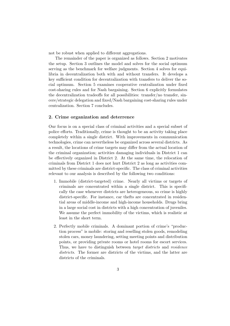not be robust when applied to different aggregations.

The remainder of the paper is organized as follows. Section 2 motivates the setup. Section 3 outlines the model and solves for the social optimum serving as the benchmark for welfare judgments. Section 4 solves for equilibria in decentralization both with and without transfers. It develops a key sufficient condition for decentralization with transfers to deliver the social optimum. Section 5 examines cooperative centralization under fixed cost-sharing rules and for Nash bargaining. Section 6 explicitly formulates the decentralization tradeoffs for all possibilities: transfer/no transfer, sincere/strategic delegation and fixed/Nash bargaining cost-sharing rules under centralization. Section 7 concludes.

#### 2. Crime organization and deterrence

Our focus is on a special class of criminal activities and a special subset of police efforts. Traditionally, crime is thought to be an activity taking place completely within a single district. With improvements in communication technologies, crime can nevertheless be organized across several districts. As a result, the locations of crime targets may differ from the actual location of the criminal organization; activities damaging individuals in District 1 can be effectively organized in District 2. At the same time, the relocation of criminals from District 1 does not hurt District 2 as long as activities committed by these criminals are district-specific. The class of criminal activities relevant to our analysis is described by the following two conditions:

- 1. Immobile (district-targeted) crime. Nearly all victims or targets of criminals are concentrated within a single district. This is specifically the case whenever districts are heterogeneous, so crime is highly district-specific. For instance, car thefts are concentrated in residential areas of middle-income and high-income households. Drugs bring in a large social cost in districts with a high concentration of juveniles. We assume the perfect immobility of the victims, which is realistic at least in the short term.
- 2. Perfectly mobile criminals. A dominant portion of crime's "production process" is mobile: storing and reselling stolen goods, remodeling stolen cars, money laundering, setting meeting points and distribution points, or providing private rooms or hotel rooms for escort services. Thus, we have to distinguish between *target districts* and *residence* districts. The former are districts of the victims, and the latter are districts of the criminals.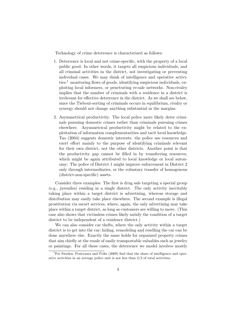Technology of crime deterrence is characterized as follows:

- 1. Deterrence is local and not crime-specific, with the property of a local public good. In other words, it targets all suspicious individuals, and all criminal activities in the district, not investigating or preventing individual cases. We may think of intelligence and operative activities: $<sup>1</sup>$  monitoring flows of goods, identifying suspicious individuals, ex-</sup> ploiting local informers, or penetrating re-sale networks. Non-rivalry implies that the number of criminals with a residence in a district is irrelevant for effective deterrence in the district. As we shall see below, since the Tiebout-sorting of criminals occurs in equilibrium, rivalry or synergy should not change anything substantial in the margins.
- 2. Asymmetrical productivity. The local police more likely deter criminals pursuing domestic crimes rather than criminals pursuing crimes elsewhere. Asymmetrical productivity might be related to the exploitation of information complementarities and tacit local knowledge. Tao (2004) suggests domestic interests: the police use resources and exert effort mainly to the purpose of identifying criminals relevant for their own district, not the other districts. Another point is that the productivity gap cannot be filled in by transferring resources, which might be again attributed to local knowledge or local autonomy: The police of District 1 might improve enforcement in District 2 only through intermediaries, or the voluntary transfer of homogenous (district-non-specific) assets.

Consider three examples: The first is drug sale targeting a special group (e.g., juveniles) residing in a single district. The only activity inevitably taking place within a target district is advertising, whereas storage and distribution may easily take place elsewhere. The second example is illegal prostitution via escort services, where, again, the only advertising may take place within a target district, as long as customers are willing to move. (This case also shows that victimless crimes likely satisfy the condition of a target district to be independent of a residence district.)

We can also consider car thefts, where the only activity within a target district is to get into the car; hiding, remodeling and reselling the car can be done anywhere else. Exactly the same holds for organized property crimes that aim chiefly at the resale of easily transportable valuables such as jewelry or paintings. For all these cases, the deterrence we model involves mostly

<sup>1</sup>For Sweden, Poutvaara and Priks (2009) find that the share of intelligence and operative activities in an average police unit is not less than 2/3 of total activities.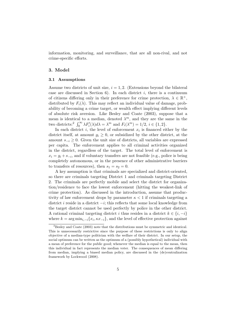information, monitoring, and surveillance, that are all non-rival, and not crime-specific efforts.

# 3. Model

#### 3.1 Assumptions

Assume two districts of unit size,  $i = 1, 2$ . (Extensions beyond the bilateral case are discussed in Section  $6$ ). In each district *i*, there is a continuum of citizens differing only in their preference for crime protection,  $\lambda \in \mathbb{R}^+$ , distributed by  $F_i(\lambda)$ . This may reflect an individual value of damage, probability of becoming a crime target, or wealth effect implying different levels of absolute risk aversion. Like Besley and Coate (2003), suppose that a mean is identical to a median, denoted  $\lambda^m$ , and they are the same in the two districts:<sup>2</sup>  $\int_0^\infty \lambda F_i'(\lambda) d\lambda = \lambda^m$  and  $F_i(\lambda^m) = 1/2, i \in \{1, 2\}.$ 

In each district i, the level of enforcement  $x_i$  is financed either by the district itself, at amount  $g_i \geq 0$ , or subsidized by the other district, at the amount  $s_{-i} \geq 0$ . Given the unit size of districts, all variables are expressed per capita. The enforcement applies to all criminal activities organized in the district, regardless of the target. The total level of enforcement is  $x_i = g_i + s_{-i}$ , and if voluntary transfers are not feasible (e.g., police is being completely autonomous, or in the presence of other administrative barriers to transfers of resources), then  $s_1 = s_2 = 0$ .

A key assumption is that criminals are specialized and district-oriented, so there are criminals targeting District 1 and criminals targeting District 2. The criminals are perfectly mobile and select the district for organization/residence to face the lowest enforcement (hitting the weakest-link of crime protection). As discussed in the introduction, assume that productivity of law enforcement drops by parameter  $\kappa < 1$  if criminals targeting a district i reside in a district  $-i$ ; this reflects that some local knowledge from the target district cannot be used perfectly by police in the other district. A rational criminal targeting district i thus resides in a district  $k \in \{i, -i\}$ where  $k = \arg \min_{i, -i} \{x_i, \kappa x_{-i}\}$ , and the level of effective protection against

 ${}^{2}$ Besley and Coate (2003) note that the distributions must be symmetric and identical. This is unnecessarily restrictive since the purpose of these restrictions is only to align objective of a median-type politician with the welfare of their district. In our setup, the social optimum can be written as the optimum of a (possibly hypothetical) individual with a mean of preference for the public good; whenever the median is equal to the mean, then this individual in fact represents the median voter. The consequences of mean differing from median, implying a biased median policy, are discussed in the (de)centralization framework by Lockwood (2008).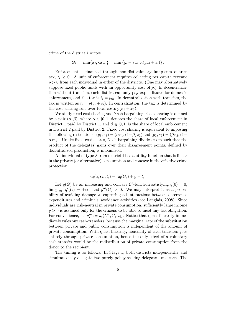crime of the district i writes

$$
G_i := \min\{x_i, \kappa x_{-i}\} = \min\{g_i + s_{-i}, \kappa (g_{-i} + s_i)\}.
$$

Enforcement is financed through non-distortionary lump-sum district tax,  $t_i \geq 0$ . A unit of enforcement requires collecting per capita revenue  $p > 0$  from each individual in either of the districts. (One may alternatively suppose fixed public funds with an opportunity cost of  $p$ .) In decentralization without transfers, each district can only pay expenditures for domestic enforcement, and the tax is  $t_i = pg_i$ . In decentralization with transfers, the tax is written as  $t_i = p(g_i + s_i)$ . In centralization, the tax is determined by the cost-sharing rule over total costs  $p(x_1 + x_2)$ .

We study fixed cost sharing and Nash bargaining. Cost sharing is defined by a pair  $(\alpha, \beta)$ , where  $\alpha \in [0, 1]$  denotes the share of local enforcement in District 1 paid by District 1, and  $\beta \in [0, 1]$  is the share of local enforcement in District 2 paid by District 2. Fixed cost sharing is equivalent to imposing the following restrictions:  $(g_1, s_1) = (\alpha x_1, (1-\beta)x_2)$  and  $(g_2, s_2) = (\beta x_2, (1-\beta)x_2)$  $\alpha$ )x<sub>1</sub>). Unlike fixed cost shares, Nash bargaining divides costs such that the product of the delegates' gains over their disagreement points, defined by decentralized production, is maximized.

An individual of type  $\lambda$  from district i has a utility function that is linear in the private (or alternative) consumption and concave in the effective crime protection,

$$
u_i(\lambda, G_i, t_i) = \lambda q(G_i) + y - t_i.
$$

Let  $q(G)$  be an increasing and concave  $\mathcal{C}^3$ -function satisfying  $q(0) = 0$ ,  $\lim_{G\to 0^+} q'(G) = +\infty$ , and  $g'''(G) > 0$ . We may interpret it as a probability of avoiding damage  $\lambda$ , capturing all interactions between deterrence expenditures and criminals' avoidance activities (see Langlais, 2008). Since individuals are risk-neutral in private consumption, sufficiently large income  $y > 0$  is assumed only for the citizens to be able to meet any tax obligation. For convenience, let  $u_i^m := u_i(\lambda^m, G_i, t_i)$ . Notice that quasi-linearity immediately rules out cash-transfers, because the marginal rate of the substitution between private and public consumption is independent of the amount of private consumption. With quasi-linearity, neutrality of cash transfers goes entirely through private consumption, hence the only effect of a voluntary cash transfer would be the redistribution of private consumption from the donor to the recipient.

The timing is as follows: In Stage 1, both districts independently and simultaneously delegate two purely policy-seeking delegates, one each. The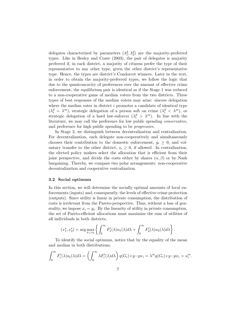delegates characterized by parameters  $(\lambda_1^d, \lambda_2^d)$  are the majority-preferred types. Like in Besley and Coate (2003), the pair of delegates is majority preferred if, in each district, a majority of citizens prefer the type of their representative to any other type, given the other district's representative type. Hence, the types are district's Condorcet winners. Later in the text, in order to obtain the majority-preferred types, we follow the logic that due to the quasiconcavity of preferences over the amount of effective crime enforcement, the equilibrium pair is identical as if the Stage 1 was reduced to a non-cooperative game of median voters from the two districts. Three types of best responses of the median voters may arise: sincere delegation where the median voter in district  $i$  promotes a candidate of identical type  $(\lambda_i^d = \lambda^m)$ , strategic delegation of a person soft on crime  $(\lambda_i^d < \lambda^m)$ , or strategic delegation of a hard law-enforcer  $(\lambda_i^d > \lambda^m)$ . In line with the literature, we may call the preference for low public spending conservative, and preference for high public spending to be progressive.

In Stage 2, we distinguish between decentralization and centralization. For decentralization, each delegate non-cooperatively and simultaneously chooses their contribution to the domestic enforcement,  $g_i \geq 0$ , and voluntary transfer to the other district,  $s_i \geq 0$ , if allowed. In centralization, the elected policy makers select the allocation that is efficient from their joint perspective, and divide the costs either by shares  $(\alpha, \beta)$  or by Nash bargaining. Thereby, we compare two polar arrangements: non-cooperative decentralization and cooperative centralization.

#### 3.2 Social optimum

In this section, we will determine the socially optimal amounts of local enforcements (inputs) and, consequently, the levels of effective crime protection (outputs). Since utility is linear in private consumption, the distribution of costs is irrelevant from the Pareto-perspective. Thus, without a loss of generality, we impose  $x_i = g_i$ . By the linearity of utility in private consumption, the set of Pareto-efficient allocations must maximize the sum of utilities of all individuals in both districts,

$$
(x_1^*, x_2^*) = \arg \max_{x_1, x_2} \left\{ \int_0^\infty F_1'(\lambda) u_1(\lambda) d\lambda + \int_0^\infty F_2'(\lambda) u_2(\lambda) d\lambda \right\}.
$$

To identify the social optimum, notice that by the equality of the mean and median in both distributions,

$$
\int_0^\infty F_i'(\lambda)u_i(\lambda)d\lambda = \left(\int_0^\infty \lambda F_i'(\lambda)d\lambda\right)q(G_i)+y-px_i = \lambda^m q(G_i)+y-px_i = u_i^m.
$$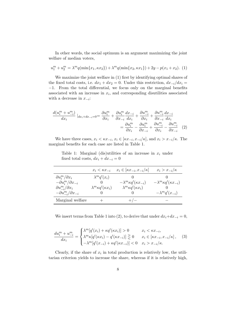In other words, the social optimum is an argument maximizing the joint welfare of median voters,

$$
u_1^m + u_2^m = \lambda^m q(\min\{x_1, \kappa x_2\}) + \lambda^m q(\min\{x_2, \kappa x_1\}) + 2y - p(x_1 + x_2). \tag{1}
$$

We maximize the joint welfare in (1) first by identifying optimal shares of the fixed total costs, i.e.  $dx_1 + dx_2 = 0$ . Under this restriction,  $dx_{-i}/dx_i =$ −1. From the total differential, we focus only on the marginal benefits associated with an increase in  $x_i$ , and corresponding disutilities associated with a decrease in  $x_{-i}$ :

$$
\frac{d(u_i^m + u_{-i}^m)}{dx_i} |_{dx_i + dx_{-i} = 0} = \frac{\partial u_i^m}{\partial x_i} + \frac{\partial u_i^m}{\partial x_{-i}} \frac{dx_{-i}}{dx_i} + \frac{\partial u_{-i}^m}{\partial x_i} + \frac{\partial u_{-i}^m}{\partial x_{-i}} \frac{dx_{-i}}{dx_i}
$$

$$
= \frac{\partial u_i^m}{\partial x_i} - \frac{\partial u_i^m}{\partial x_{-i}} + \frac{\partial u_{-i}^m}{\partial x_i} - \frac{\partial u_{-i}^m}{\partial x_{-i}} \quad (2)
$$

We have three cases,  $x_i < \kappa x_{-i}, x_i \in [\kappa x_{-i}, x_{-i}/\kappa]$ , and  $x_i > x_{-i}/\kappa$ . The marginal benefits for each case are listed in Table 1.

Table 1: Marginal (dis)utilities of an increase in  $x_i$  under fixed total costs,  $dx_i + dx_{-i} = 0$ 

|                                      | $x_i \leq \kappa x_{-i}$          | $x_i \in [\kappa x_{-i}, x_{-i}/\kappa]$ | $x_i > x_{-i}/\kappa$                 |
|--------------------------------------|-----------------------------------|------------------------------------------|---------------------------------------|
| $\partial u_i^m/\partial x_i$        | $\lambda^m q'(x_i)$               |                                          |                                       |
| $-\partial u_i^m/\partial x_{-i}$    |                                   | $-\lambda^m \kappa q'(\kappa x_{-i})$    | $-\lambda^m \kappa q'(\kappa x_{-i})$ |
| $\partial u_{-i}^m / \partial x_i$   | $\lambda^m \kappa q'(\kappa x_i)$ | $\lambda^m \kappa q'(\kappa x_i)$        |                                       |
| $-\partial u_{-i}^m/\partial x_{-i}$ |                                   |                                          | $-\lambda^m q'(x_{-i})$               |
| Marginal welfare                     |                                   | $+/-$                                    |                                       |

We insert terms from Table 1 into (2), to derive that under  $dx_i+dx_{-i}=0$ ,

$$
\frac{du_i^m + u_{-i}^m}{dx_i} = \begin{cases} \lambda^m [q'(x_i) + \kappa q'(\kappa x_i)] > 0 & x_i < \kappa x_{-i}, \\ \lambda^m \kappa [q'(\kappa x_i) - q'(\kappa x_{-i})] \ge 0 & x_i \in [\kappa x_{-i}, x_{-i}/\kappa], \\ -\lambda^m [q'(x_{-i}) + \kappa q'(\kappa x_{-i})] < 0 & x_i > x_{-i}/\kappa. \end{cases}
$$
(3)

Clearly, if the share of  $x_i$  in total production is relatively low, the utilitarian criterion yields to increase the share, whereas if it is relatively high,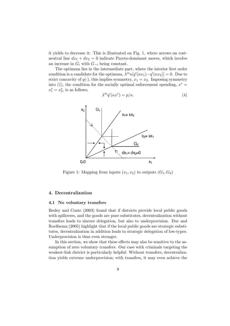it yields to decrease it. This is illustrated on Fig. 1, where arrows on costneutral line  $dx_1 + dx_2 = 0$  indicate Pareto-dominant moves, which involve an increase in  $G_i$  with  $G_{-i}$  being constant.

The optimum lies in the intermediate part, where the interior first order condition is a candidate for the optimum,  $\bar{\lambda}^m \kappa[q'(\kappa x_1) - q'(\kappa x_2)] = 0$ . Due to strict concavity of  $q(\cdot)$ , this implies symmetry,  $x_1 = x_2$ . Imposing symmetry into (1), the condition for the socially optimal enforcement spending,  $x^* =$  $x_1^* = x_2^*$ , is as follows,

$$
\lambda^m q'(\kappa x^*) = p/\kappa. \tag{4}
$$



Figure 1: Mapping from inputs  $(x_1, x_2)$  to outputs  $(G_1, G_2)$ 

# 4. Decentralization

#### 4.1 No voluntary transfers

Besley and Coate (2003) found that if districts provide local public goods with spillovers, and the goods are pure substitutes, decentralization without transfers leads to sincere delegation, but also to underprovision. Dur and Roelfsema (2005) highlight that if the local public goods are strategic substitutes, decentralization in addition leads to strategic delegation of low-types. Underprovision is thus even stronger.

In this section, we show that these effects may also be sensitive to the assumption of zero voluntary transfers. Our case with criminals targeting the weakest-link district is particularly helpful: Without transfers, decentralization yields extreme underprovision; with transfers, it may even achieve the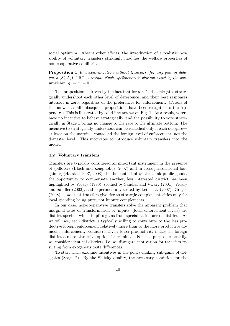social optimum. Absent other effects, the introduction of a realistic possibility of voluntary transfers strikingly modifies the welfare properties of non-cooperative equilibria.

Proposition 1 In decentralization without transfers, for any pair of delegates  $(\lambda_1^d, \lambda_2^d) \in \mathbb{R}^+$ , a unique Nash equilibrium is characterized by the zero provision,  $g_1 = g_2 = 0$ .

The proposition is driven by the fact that for  $\kappa < 1$ , the delegates strategically undershoot each other level of deterrence, and their best responses intersect in zero, regardless of the preferences for enforcement. (Proofs of this as well as all subsequent propositions have been relegated to the Appendix.) This is illustrated by solid line arrows on Fig. 1. As a result, voters have no incentive to behave strategically, and the possibility to vote strategically in Stage 1 brings no change to the race to the ultimate bottom. The incentive to strategically undershoot can be remedied only if each delegate at least on the margin—controlled the foreign level of enforcement, not the domestic level. This motivates to introduce voluntary transfers into the model.

#### 4.2 Voluntary transfers

Transfers are typically considered an important instrument in the presence of spillovers (Bloch and Zenginobuz, 2007) and in cross-jurisdictional bargaining (Harstad 2007, 2008). In the context of weakest-link public goods, the opportunity to compensate another, less interested district has been highlighted by Vicary (1990), studied by Sandler and Vicary (2001), Vicary and Sandler (2002), and experimentally tested by Lei et al. (2007). Gregor (2008) shows that transfers give rise to strategic complementarities only for local spending being pure, not impure complements.

In our case, non-cooperative transfers solve the apparent problem that marginal rates of transformation of 'inputs' (local enforcement levels) are district-specific, which implies gains from specialization across districts. As we will see, each district is typically willing to contribute to the less productive foreign enforcement relatively more than to the more productive domestic enforcement, because relatively lower productivity makes the foreign district a more attractive option for criminals. For this purpose especially, we consider identical districts, i.e. we disregard motivation for transfers resulting from exogenous taste differences.

To start with, examine incentives in the policy-making sub-game of delegates (Stage 2). By the Slutsky duality, the necessary condition for the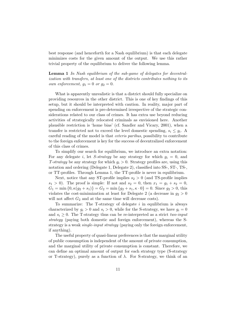best response (and henceforth for a Nash equilibrium) is that each delegate minimizes costs for the given amount of the output. We use this rather trivial property of the equilibrium to deliver the following lemma.

Lemma 1 In Nash equilibrium of the sub-game of delegates for decentralization with transfers, at least one of the districts contributes nothing to its own enforcement,  $g_1 = 0$  or  $g_2 = 0$ .

What is apparently unrealistic is that a district should fully specialize on providing resources in the other district. This is one of key findings of this setup, but it should be interpreted with caution. In reality, major part of spending on enforcement is pre-determined irrespective of the strategic considerations related to our class of crimes. It has extra use beyond reducing activities of strategically relocated criminals as envisioned here. Another plausible restriction is 'home bias' (cf. Sandler and Vicary, 2001), when a transfer is restricted not to exceed the level domestic spending,  $s_i \leq g_i$ . A careful reading of the model is that ceteris paribus, possibility to contribute to the foreign enforcement is key for the success of decentralized enforcement of this class of crimes.

To simplify our search for equilibrium, we introduce an extra notation: For any delegate i, let S-strategy be any strategy for which  $g_i = 0$ , and T-strategy be any strategy for which  $g_i > 0$ . Strategy profiles are, using this notation and ordering (Delegate 1, Delegate 2), classified into SS-, ST-, TS-, or TT-profiles. Through Lemma 1, the TT-profile is never in equilibrium.

Next, notice that any ST-profile implies  $s_2 > 0$  (and TS-profile implies  $s_1 > 0$ ). The proof is simple: If not and  $s_2 = 0$ , then  $x_1 = g_1 + s_2 = 0$ ,  $G_1 = \min\{0, \kappa(g_2 + s_1)\} = G_2 = \min\{g_2 + s_1, \kappa \cdot 0\} = 0$ . Since  $g_2 > 0$ , this violates the cost-minimization at least for Delegate 2 (a decrease in  $g_2 > 0$ will not affect  $G_2$  and at the same time will decrease costs).

To summarize: The T-strategy of delegate  $i$  in equilibrium is always characterized by  $g_i > 0$  and  $s_i > 0$ , while for the S-strategy, we have  $g_i = 0$ and  $s_i \geq 0$ . The T-strategy thus can be re-interpreted as a strict two-input strategy (paying both domestic and foreign enforcement), whereas the Sstrategy is a weak *single-input strategy* (paying only the foreign enforcement, if anything).

The useful property of quasi-linear preferences is that the marginal utility of public consumption is independent of the amount of private consumption, and the marginal utility of private consumption is constant. Therefore, we can define an optimal amount of output for each strategy type (S-strategy or T-strategy), purely as a function of  $\lambda$ . For S-strategy, we think of an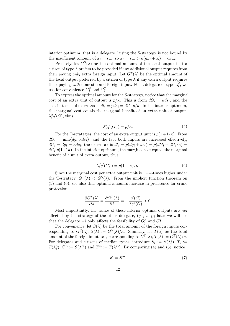interior optimum, that is a delegate  $i$  using the S-strategy is not bound by the insufficient amount of  $x_i = s_{-i}$ , so  $x_i = s_{-i} > \kappa(g_{-i} + s_i) = \kappa x_{-i}$ .

Precisely, let  $G^{S}(\lambda)$  be the optimal amount of the local output that a citizen of type  $\lambda$  prefers to be provided if any additional output requires from their paying *only* extra foreign input. Let  $G<sup>T</sup>(\lambda)$  be the optimal amount of the local output preferred by a citizen of type  $\lambda$  if any extra output requires their paying *both* domestic and foreign input. For a delegate of type  $\lambda_i^d$ , we use for convenience  $G_i^S$  and  $G_i^T$ .

To express the optimal amount for the S-strategy, notice that the marginal cost of an extra unit of output is  $p/\kappa$ . This is from  $dG_i = \kappa ds_i$ , and the cost in terms of extra tax is  $dt_i = pds_i = dG \cdot p/\kappa$ . In the interior optimum, the marginal cost equals the marginal benefit of an extra unit of output,  $\lambda_i^d q'(G)$ , thus

$$
\lambda_i^d q'(G_i^S) = p/\kappa. \tag{5}
$$

For the T-strategies, the cost of an extra output unit is  $p(1+1/\kappa)$ . From  $dG_i = \min\{dg_i, \kappa ds_i\}$ , and the fact both inputs are increased effectively,  $dG_i = dg_i = \kappa ds_i$ , the extra tax is  $dt_i = p(dg_i + ds_i) = p(dG_i + dG_i/\kappa)$  $dG_i \cdot p(1+1\kappa)$ . In the interior optimum, the marginal cost equals the marginal benefit of a unit of extra output, thus

$$
\lambda_i^d q'(G_i^T) = p(1+\kappa)/\kappa. \tag{6}
$$

Since the marginal cost per extra output unit is  $1+\kappa$ -times higher under the T-strategy,  $G^T(\lambda) < G^S(\lambda)$ . From the implicit function theorem on (5) and (6), see also that optimal amounts increase in preference for crime protection,

$$
\frac{\partial G^{S}(\lambda)}{\partial \lambda} = \frac{\partial G^{T}(\lambda)}{\partial \lambda} = -\frac{q'(G)}{\lambda q''(G)} > 0.
$$

Most importantly, the values of these interior optimal outputs are not affected by the strategy of the other delegate,  $(g_{-i}, s_{-i})$ ; later we will see that the delegate  $-i$  only affects the feasibility of  $G_i^S$  and  $G_i^T$ .

For convenience, let  $S(\lambda)$  be the total amount of the foreign inputs corresponding to  $G^S(\lambda)$ ,  $S(\lambda) := G^S(\lambda)/\kappa$ . Similarly, let  $T(\lambda)$  be the total amount of the foreign inputs  $x_{-i}$  corresponding to  $G^T(\lambda)$ ,  $T(\lambda) := G^T(\lambda)/\kappa$ . For delegates and citizens of median types, introduce  $S_i := S(\lambda_i^d)$ ,  $T_i :=$  $T(\lambda_i^d)$ ,  $S^m := S(\lambda^m)$  and  $T^m := T(\lambda^m)$ . By comparing (4) and (5), notice

$$
x^* = S^m. \tag{7}
$$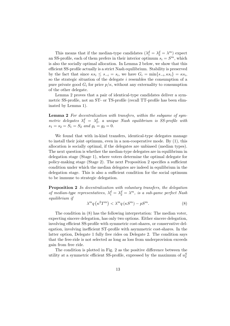This means that if the median-type candidates  $(\lambda_1^d = \lambda_2^d = \lambda^m)$  expect an SS-profile, each of them prefers in their interior optimum  $s_i = S^m$ , which is also the socially optimal allocation. In Lemma 2 below, we show that this efficient SS-profile actually is a strict Nash equilibrium. Stability is preserved by the fact that since  $\kappa s_i \leq s_{-i} = s_i$ , we have  $G_i = \min\{s_{-i}, \kappa s_i\} = \kappa s_i$ , so the strategic situation of the delegate  $i$  resembles the consumption of a pure private good  $G_i$  for price  $p/\kappa$ , without any externality to consumption of the other delegate.

Lemma 2 proves that a pair of identical-type candidates deliver a symmetric SS-profile, not an ST- or TS-profile (recall TT-profile has been eliminated by Lemma 1).

Lemma 2 For decentralization with transfers, within the subgame of symmetric delegates  $\lambda_1^d = \lambda_2^d$ , a unique Nash equilibrium is SS-profile with  $s_1 = s_2 = S_1 = S_2$  and  $g_1 = g_2 = 0$ .

We found that with in-kind transfers, identical-type delegates manage to install their joint optimum, even in a non-cooperative mode. By (1), this allocation is socially optimal, if the delegates are unbiased (median types). The next question is whether the median-type delegates are in equilibrium in delegation stage (Stage 1), where voters determine the optimal delegate for policy-making stage (Stage 2). The next Proposition 2 specifies a sufficient condition under which the median delegates are indeed in equilibrium in the delegation stage. This is also a sufficient condition for the social optimum to be immune to strategic delegation.

Proposition 2 In decentralization with voluntary transfers, the delegation of median-type representatives,  $\lambda_1^d = \lambda_2^d = \lambda^m$ , is a sub-game perfect Nash equilibrium if

$$
\lambda^m q\left(\kappa^2 T^m\right) < \lambda^m q\left(\kappa S^m\right) - pS^m. \tag{8}
$$

The condition in (8) has the following interpretation: The median voter, expecting sincere delegation, has only two options. Either sincere delegation, involving efficient SS-profile with symmetric cost-shares, or conservative delegation, involving inefficient ST-profile with asymmetric cost-shares. In the latter option, Delegate 1 fully free rides on Delegate 2. The condition says that the free-ride is not selected as long as loss from underprovision exceeds gain from free ride.

The condition is plotted in Fig. 2 as the positive difference between the utility at a symmetric efficient SS-profile, expressed by the maximum of  $u_2^S$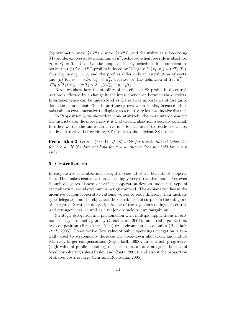(by symmetry, max  $u_1^S(\lambda^m) = \max u_2^S(\lambda^m)$ ), and the utility at a free-riding ST-profile, expressed by maximum of  $u_1^T$ , achieved when free ride is absolute,  $g_1 = s_1^e = 0$ . To derive the shape of the  $u_1^T$  schedule, it is sufficient to notice that (i) for all ST-profiles induced by Delegate 2,  $(x_1, x_2) = (\kappa T_2, T_2)$ , thus  $du_1^T + du_2^T = 0$ , and the profiles differ only in distribution of costs; and (ii) for  $s_1 = \kappa T_2$ ,  $u_1^T < u_2^T$ , because by the definition of  $T_2$ ,  $u_1^T =$  $\lambda^m q(\kappa^2 T_2) + y - p\kappa T_2 < \bar{\lambda}^m q(\kappa T_2) + y - pT_2.$ 

Next, we show how the stability of the efficient SS-profile in decentralization is affected by a change in the interdependence between the districts. Interdependence can be understood as the relative importance of foreign to domestic enforcement. The importance grows when  $\kappa$  falls, because criminals gain an extra incentive to displace to a relatively less productive district.

In Proposition 3, we show that, non-intuitively, the more interdependent the districts are, the more likely it is that decentralization is socially optimal. In other words, the more attractive it is for criminals to reside elsewhere, the less attractive is free riding ST-profile to the efficient SS-profile.

**Proposition 3** Let  $\kappa \in (2/3, 1)$ . If (8) holds for  $\kappa = \bar{\kappa}$ , then it holds also for  $\kappa < \bar{\kappa}$ . If (8) does not hold for  $\kappa = \bar{\kappa}$ , then it does not hold for  $\kappa > \bar{\kappa}$ either.

#### 5. Centralization

In cooperative centralization, delegates seize all of the benefits of cooperation. This makes centralization a seemingly very attractive mode. Yet even though delegates dispose of perfect cooperation devices under this type of centralization, social optimum is not guaranteed. The explanation lies in the incentive of non-cooperative rational voters to elect different than mediantype delegates, and thereby affect the distribution of surplus in the sub-game of delegates. Strategic delegation is one of the key shortcomings of centralized arrangements, as well as a major obstacle to any bargaining.

Strategic delegation is a phenomenon with multiple applications in economics, e.g. in monetary policy (Chari *et al.*, 2004), industrial organization, tax competition (Brueckner, 2004) or environmental economics (Buchholz et al., 2005). Conservative (low value of public spending) delegation is typically used to strategically decrease the breakdown allocation, and induce relatively larger compensations (Segendorff, 1998). In contrast, progressive (high value of public spending) delegation has an advantage in the case of fixed cost-sharing rules (Besley and Coate, 2003), and also if the proportion of shared costs is large (Dur and Roelfsema, 2005).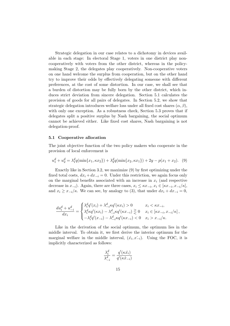Strategic delegation in our case relates to a dichotomy in devices available in each stage: In electoral Stage 1, voters in one district play noncooperatively with voters from the other district, whereas in the policymaking Stage 2, the delegates play cooperatively. Non-cooperative voters on one hand welcome the surplus from cooperation, but on the other hand try to improve their odds by effectively delegating someone with different preferences, at the cost of some distortion. In our case, we shall see that a burden of distortion may be fully born by the other district, which induces strict deviation from sincere delegation. Section 5.1 calculates the provision of goods for all pairs of delegates. In Section 5.2, we show that strategic delegation introduces welfare loss under all fixed cost shares  $(\alpha, \beta)$ , with only one exception. As a robustness check, Section 5.3 proves that if delegates split a positive surplus by Nash bargaining, the social optimum cannot be achieved either. Like fixed cost shares, Nash bargaining is not delegation-proof.

#### 5.1 Cooperative allocation

The joint objective function of the two policy makers who cooperate in the provision of local enforcement is

$$
u_1^d + u_2^d = \lambda_1^d q(\min\{x_1, \kappa x_2\}) + \lambda_2^d q(\min\{x_2, \kappa x_1\}) + 2y - p(x_1 + x_2). \tag{9}
$$

Exactly like in Section 3.2, we maximize (9) by first optimizing under the fixed total costs,  $dx_i + dx_{-i} = 0$ . Under this restriction, we again focus only on the marginal benefits associated with an increase in  $x_i$  (and respective decrease in  $x_{-i}$ ). Again, there are three cases,  $x_i \leq \kappa x_{-i}, x_i \in [\kappa x_{-i}, x_{-i}/\kappa]$ , and  $x_i \geq x_{-i}/\kappa$ . We can see, by analogy to (3), that under  $dx_i + dx_{-i} = 0$ ,

$$
\frac{du_i^d+u_{-i}^d}{dx_i} = \begin{cases} \lambda_i^dq'(x_i) + \lambda_{-i}^d\kappa q'(\kappa x_i) > 0 & x_i < \kappa x_{-i},\\ \lambda_i^d\kappa q'(\kappa x_i) - \lambda_{-i}^d\kappa q'(\kappa x_{-i}) \geq 0 & x_i \in [\kappa x_{-i}, x_{-i}/\kappa] \\ -\lambda_i^dq'(x_{-i}) - \lambda_{-i}^d\kappa q'(\kappa x_{-i}) < 0 & x_i > x_{-i}/\kappa. \end{cases}
$$

Like in the derivation of the social optimum, the optimum lies in the middle interval. To obtain it, we first derive the interior optimum for the marginal welfare in the middle interval,  $(\hat{x_i}, \hat{x_{-i}})$ . Using the FOC, it is implicitly characterized as follows:

$$
\frac{\lambda_i^d}{\lambda_{-i}^d} = \frac{q'(\kappa \hat{x_i})}{q'(\kappa \hat{x}_{-i})}
$$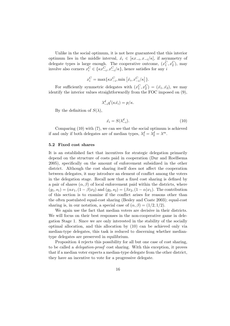Unlike in the social optimum, it is not here guaranteed that this interior optimum lies in the middle interval,  $\hat{x}_i \in [\kappa x_{-i}, x_{-i}/\kappa]$ , if asymmetry of delegate types is large enough. The cooperative outcome,  $(x_1^C, x_2^C)$ , may involve also corners  $x_i^C \in \{\kappa x_{-i}^C, x_{-i}^C/\kappa\}$ , hence satisfies for any i

$$
x_i^C = \max\{\kappa x_{-i}^C, \min\left[\hat{x}_i, x_{-i}^C/\kappa\right]\}.
$$

For sufficiently symmetric delegates with  $(x_1^C, x_2^C) = (\hat{x_1}, \hat{x_2})$ , we may identify the interior values straightforwardly from the FOC imposed on (9),

$$
\lambda_{-i}^d q'(\kappa \hat{x_i}) = p/\kappa.
$$

By the definition of  $S(\lambda)$ ,

$$
\hat{x}_i = S(\lambda_{-i}^d). \tag{10}
$$

Comparing (10) with (7), we can see that the social optimum is achieved if and only if both delegates are of median types,  $\lambda_1^d = \lambda_2^d = \lambda^m$ .

#### 5.2 Fixed cost shares

It is an established fact that incentives for strategic delegation primarily depend on the structure of costs paid in cooperation (Dur and Roelfsema 2005), specifically on the amount of enforcement subsidized in the other district. Although the cost sharing itself does not affect the cooperation between delegates, it may introduce an element of conflict among the voters in the delegation stage. Recall now that a fixed cost sharing is defined by a pair of shares  $(\alpha, \beta)$  of local enforcement paid within the districts, where  $(g_1, s_1) = (\alpha x_1, (1 - \beta)x_2)$  and  $(g_2, s_2) = (\beta x_2, (1 - \alpha)x_1)$ . The contribution of this section is to examine if the conflict arises for reasons other than the often postulated equal-cost sharing (Besley and Coate 2003); equal-cost sharing is, in our notation, a special case of  $(\alpha, \beta) = (1/2, 1/2)$ .

We again use the fact that median voters are decisive in their districts. We will focus on their best responses in the non-cooperative game in delegation Stage 1. Since we are only interested in the stability of the socially optimal allocation, and this allocation by (10) can be achieved only via median-type delegates, this task is reduced to discerning whether mediantype delegates are preserved in equilibrium.

Proposition 4 rejects this possibility for all but one case of cost sharing, to be called a delegation-proof cost sharing. With this exception, it proves that if a median voter expects a median-type delegate from the other district, they have an incentive to vote for a progressive delegate.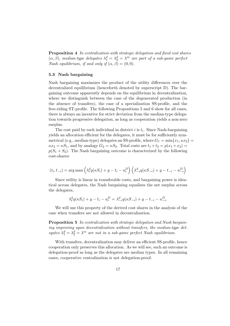Proposition 4 In centralization with strategic delegation and fixed cost shares  $(\alpha, \beta)$ , median-type delegates  $\lambda_1^d = \lambda_2^d = \lambda^m$  are part of a sub-game perfect Nash equilibrium, if and only if  $(\alpha, \beta) = (0, 0)$ .

#### 5.3 Nash bargaining

Nash bargaining maximizes the product of the utility differences over the decentralized equilibrium (henceforth denoted by superscript D). The bargaining outcome apparently depends on the equilibrium in decentralization, where we distinguish between the case of the degenerated production (in the absence of transfers), the case of a specialization SS-profile, and the free-riding ST-profile. The following Propositions 5 and 6 show for all cases, there is always an incentive for strict deviation from the median-type delegation towards progressive delegation, as long as cooperation yields a non-zero surplus.

The cost paid by each individual in district  $i$  is  $t_i$ . Since Nash-bargaining yields an allocation efficient for the delegates, it must be for sufficiently symmetrical (e.g., median-type) delegates an SS-profile, where  $G_1 = \min\{x_1, \kappa x_2\}$  $\kappa x_2 = \kappa S_1$ , and by analogy  $G_2 = \kappa S_2$ . Total costs are  $t_1 + t_2 = p(x_1 + x_2)$  $p(S_1 + S_2)$ . The Nash bargaining outcome is characterized by the following cost-shares:

$$
(t_i, t_{-i}) = \arg \max \left( \lambda_i^d q(\kappa S_i) + y - t_i - u_i^D \right) \left( \lambda_{-i}^d q(\kappa S_{-i}) + y - t_{-i} - u_{-i}^D \right)
$$

Since utility is linear in transferable costs, and bargaining power is identical across delegates, the Nash bargaining equalizes the net surplus across the delegates,

$$
\lambda_i^d q(\kappa S_i) + y - t_i - u_i^D = \lambda_{-i}^d q(\kappa S_{-i}) + y - t_{-i} - u_{-i}^D.
$$

We will use this property of the derived cost shares in the analysis of the case when transfers are not allowed in decentralization.

Proposition 5 In centralization with strategic delegation and Nash bargaining improving upon decentralization without transfers, the median-type delegates  $\lambda_1^d = \lambda_2^d = \lambda^m$  are not in a sub-game perfect Nash equilibrium.

With transfers, decentralization may deliver an efficient SS-profile, hence cooperation only preserves this allocation. As we will see, such an outcome is delegation-proof as long as the delegates are median types. In all remaining cases, cooperative centralization is not delegation-proof.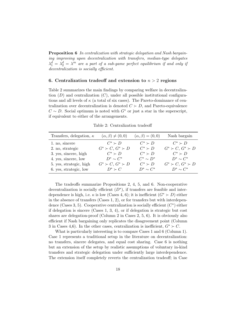Proposition 6 In centralization with strategic delegation and Nash bargaining improving upon decentralization with transfers, median-type delegates  $\lambda_1^d = \lambda_2^d = \lambda^m$  are a part of a sub-game perfect equilibrium if and only if decentralization is socially efficient.

#### 6. Centralization tradeoff and extension to  $n > 2$  regions

Table 2 summarizes the main findings by comparing welfare in decentralization  $(D)$  and centralization  $(C)$ , under all possible institutional configurations and all levels of  $\kappa$  (a total of six cases). The Pareto-dominance of centralization over decentralization is denoted  $C \succ D$ , and Pareto-equivalence  $C \sim D$ . Social optimum is noted with  $G^*$  or just a star in the superscript, if equivalent to either of the arrangements.

Table 2: Centralization tradeoff

| Transfers, delegation, $\kappa$ | $(\alpha, \beta) \neq (0, 0)$ | $(\alpha, \beta) = (0, 0)$ | Nash bargain                  |
|---------------------------------|-------------------------------|----------------------------|-------------------------------|
| 1. no, sincere                  | $C^* \succ D$                 | $C^* \succ D$              | $C^* \succ D$                 |
| 2. no, strategic                | $G^* \succ C$ , $G^* \succ D$ | $C^* \succ D$              | $G^* \succ C$ , $G^* \succ D$ |
| 3. yes, sincere, high           | $C^* \succ D$                 | $C^* \succ D$              | $C^* \succ D$                 |
| 4. yes, sincere, low            | $D^* \sim C^*$                | $C^* \sim D^*$             | $D^* \sim C^*$                |
| 5. yes, strategic, high         | $G^* \succ C, G^* \succ D$    | $C^* \succ D$              | $G^* \succ C, G^* \succ D$    |
| 6. yes, strategic, low          | $D^* \succ C$                 | $D^* \sim C^*$             | $D^* \sim C^*$                |

The tradeoffs summarize Propositions 2, 4, 5, and 6. Non-cooperative decentralization is socially efficient  $(D^*)$ , if transfers are feasible and interdependence is high, i.e.  $\kappa$  is low (Cases 4, 6); it is inefficient  $(G^* \succ D)$  either in the absence of transfers (Cases 1, 2), or for transfers but with interdependence (Cases 3, 5). Cooperative centralization is socially efficient  $(C^*)$  either if delegation is sincere (Cases 1, 3, 4), or if delegation is strategic but cost shares are delegation-proof (Column 2 in Cases 2, 5, 6). It is obviously also efficient if Nash bargaining only replicates the disagreement point (Column 3 in Cases 4,6). In the other cases, centralization is inefficient,  $G^* \succ C$ .

What is particularly interesting is to compare Cases 1 and 6 (Column 1). Case 1 represents a traditional setup in the literature on decentralization: no transfers, sincere delegates, and equal cost sharing. Case 6 is nothing but an extension of the setup by realistic assumptions of voluntary in-kind transfers and strategic delegation under sufficiently large interdependence. The extension itself completely reverts the centralization tradeoff; in Case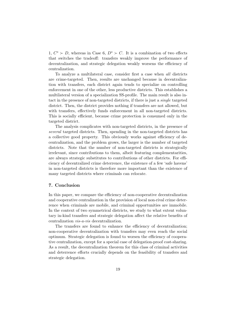1,  $C^* \succ D$ , whereas in Case 6,  $D^* \succ C$ . It is a combination of two effects that switches the tradeoff: transfers weakly improve the performance of decentralization, and strategic delegation weakly worsens the efficiency of centralization.

To analyze a multilateral case, consider first a case when all districts are crime-targeted. Then, results are unchanged because in decentralization with transfers, each district again tends to specialize on controlling enforcement in one of the other, less productive districts. This establishes a multilateral version of a specialization SS-profile. The main result is also intact in the presence of non-targeted districts, if there is just a single targeted district. Then, the district provides nothing if transfers are not allowed, but with transfers, effectively funds enforcement in all non-targeted districts. This is socially efficient, because crime protection is consumed only in the targeted district.

The analysis complicates with non-targeted districts, in the presence of several targeted districts. Then, spending in the non-targeted districts has a collective good property. This obviously works against efficiency of decentralization, and the problem grows, the larger is the number of targeted districts. Note that the number of non-targeted districts is strategically irrelevant, since contributions to them, albeit featuring complementarities, are always strategic substitutes to contributions of other districts. For efficiency of decentralized crime deterrence, the existence of a few 'safe havens' in non-targeted districts is therefore more important than the existence of many targeted districts where criminals can relocate.

# 7. Conclusion

In this paper, we compare the efficiency of non-cooperative decentralization and cooperative centralization in the provision of local non-rival crime deterrence when criminals are mobile, and criminal opportunities are immobile. In the context of two symmetrical districts, we study to what extent voluntary in-kind transfers and strategic delegation affect the relative benefits of centralization vis-a-vis decentralization.

The transfers are found to enhance the efficiency of decentralization; non-cooperative decentralization with transfers may even reach the social optimum. Strategic delegation is found to worsen the efficiency of cooperative centralization, except for a special case of delegation-proof cost-sharing. As a result, the decentralization theorem for this class of criminal activities and deterrence efforts crucially depends on the feasibility of transfers and strategic delegation.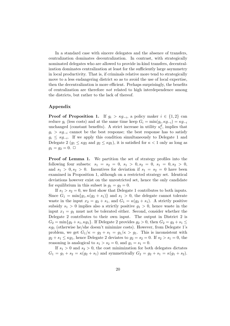In a standard case with sincere delegates and the absence of transfers, centralization dominates decentralization. In contrast, with strategically nominated delegates who are allowed to provide in-kind transfers, decentralization dominates centralization at least for the sufficiently large asymmetry in local productivity. That is, if criminals relative more tend to strategically move to a less endangering district so as to avoid the use of local expertise, then the decentralization is more efficient. Perhaps surprisingly, the benefits of centralization are therefore not related to high interdependence among the districts, but rather to the lack of thereof.

#### Appendix

**Proof of Proposition 1.** If  $g_i > \kappa g_{-i}$ , a policy maker  $i \in \{1, 2\}$  can reduce  $g_i$  (less costs) and at the same time keep  $G_i = \min(g_i, \kappa g_{-i}) = \kappa g_{-i}$ unchanged (constant benefits). A strict increase in utility  $u_i^d$ , implies that  $g_i > \kappa g_{-i}$  cannot be the best response; the best response has to satisfy  $g_i \leq \kappa g_{-i}$ . If we apply this condition simultaneously to Delegate 1 and Delegate 2 ( $g_1 \leq \kappa g_2$  and  $g_2 \leq \kappa g_1$ ), it is satisfied for  $\kappa < 1$  only as long as  $g_1 = g_2 = 0. \ \Box$ 

Proof of Lemma 1. We partition the set of strategy profiles into the following four subsets:  $s_1 = s_2 = 0, s_1 > 0, s_2 = 0, s_1 = 0, s_2 > 0,$ and  $s_1 > 0$ ,  $s_2 > 0$ . Incentives for deviation if  $s_1 = s_2 = 0$  have been examined in Proposition 1, although on a restricted strategy set. Identical deviations however exist on the unrestricted set, hence the only candidate for equilibrium in this subset is  $g_1 = g_2 = 0$ .

If  $s_1 > s_2 = 0$ , we first show that Delegate 1 contributes to both inputs. Since  $G_1 = \min\{g_1, \kappa(g_2 + s_1)\}\$ and  $s_1 > 0$ , the delegate cannot tolerate waste in the input  $x_2 = g_2 + s_1$ , and  $G_1 = \kappa(g_2 + s_1)$ . A strictly positive subsidy  $s_1 > 0$  implies also a strictly positive  $g_1 > 0$ , hence waste in the input  $x_1 = g_1$  must not be tolerated either. Second, consider whether the Delegate 2 contributes to their own input. The output in District 2 is  $G_2 = \min\{g_2 + s_1, \kappa g_1\}.$  If Delegate 2 provides  $g_2 > 0$ , then  $G_2 = g_2 + s_1 \le$  $\kappa g_1$  (otherwise he/she doesn't minimize costs). However, from Delegate 1's problem, we get  $G_1/\kappa = g_2 + s_1 = g_1/\kappa > g_1$ . This is inconsistent with  $g_2 + s_1 \leq \kappa g_1$ , hence Delegate 2 deviates to  $g_2 = s_2 = 0$ . If  $s_2 > s_1 = 0$ , the reasoning is analogical to  $s_1 > s_2 = 0$ , and  $g_1 = s_1 = 0$ .

If  $s_1 > 0$  and  $s_2 > 0$ , the cost minimization for both delegates dictates  $G_1 = g_1 + s_2 = \kappa(g_2 + s_1)$  and symmetrically  $G_2 = g_2 + s_1 = \kappa(g_1 + s_2)$ .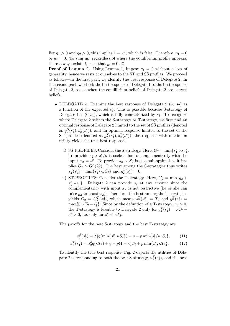For  $g_1 > 0$  and  $g_2 > 0$ , this implies  $1 = \kappa^2$ , which is false. Therefore,  $g_1 = 0$ or  $g_2 = 0$ . To sum up, regardless of where the equilibrium profile appears, there always exists i, such that  $g_i = 0$ .  $\Box$ 

**Proof of Lemma 2.** Using Lemma 1, impose  $g_1 = 0$  without a loss of generality, hence we restrict ourselves to the ST and SS profiles. We proceed as follows—in the first part, we identify the best response of Delegate 2. In the second part, we check the best response of Delegate 1 to the best response of Delegate 2, to see when the equilibrium beliefs of Delegate 2 are correct beliefs.

- DELEGATE 2: Examine the best response of Delegate 2  $(g_2, s_2)$  as a function of the expected  $s_1^e$ . This is possible because S-strategy of Delegate 1 is  $(0, s_1)$ , which is fully characterized by  $s_1$ . To recognize where Delegate 2 selects the S-strategy or T-strategy, we first find an optimal response of Delegate 2 limited to the set of SS profiles (denoted as  $g_2^S(s_1^e), s_2^S(s_1^e)$ , and an optimal response limited to the set of the ST profiles (denoted as  $g_2^T(s_1^e), s_2^T(s_1^e)$ ); the response with maximum utility yields the true best response.
	- i) SS-PROFILES: Consider the S-strategy. Here,  $G_2 = \min\{s_1^e, \kappa s_2\}.$ To provide  $s_2 > s_1^e / \kappa$  is useless due to complementarity with the input  $x_2 = s_1^e$ . To provide  $s_2 > S_2$  is also sub-optimal as it implies  $G_2 > G^S(\lambda_2^d)$ . The best among the S-strategies thus writes  $s_2^S(s_1^e) = \min\{s_1^e/\kappa, S_2\}$  and  $g_2^S(s_1^e) = 0$ .
	- ii) ST-PROFILES: Consider the T-strategy. Here,  $G_2 = \min\{g_2 +$  $s_1^e$ ,  $\kappa s_2$ . Delegate 2 can provide  $s_2$  at any amount since the complementarity with input  $x_2$  is not restrictive (he or she can raise  $g_2$  to boost  $x_2$ ). Therefore, the best among the T-strategies yields  $G_2 = G_2^T(\lambda_2^d)$ , which means  $s_2^T(s_1^e) = T_2$  and  $g_2^T(s_1^e) =$  $\max\{0, \kappa T_2 - s_1^e\}.$  Since by the definition of a T-strategy,  $g_2 > 0$ , the T-strategy is feasible to Delegate 2 only for  $g_2^T(s_1^e) = \kappa T_2$  –  $s_1^e > 0$ , i.e. only for  $s_1^e < \kappa T_2$ .

The payoffs for the best S-strategy and the best T-strategy are:

$$
u_2^S(s_1^e) = \lambda_2^d q(\min\{s_1^e, \kappa S_2\}) + y - p \min\{s_1^e/\kappa, S_2\},\tag{11}
$$

$$
u_2^T(s_1^e) = \lambda_2^d q(\kappa T_2) + y - p(1+\kappa)T_2 + p \min\{s_1^e, \kappa T_2\}.
$$
 (12)

To identify the true best response, Fig. 2 depicts the utilities of Delegate 2 corresponding to both the best S-strategy,  $u_2^S(s_1^e)$ , and the best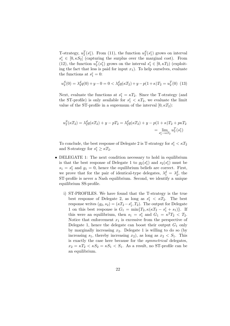T-strategy,  $u_2^T(s_1^e)$ . From (11), the function  $u_2^S(s_1^e)$  grows on interval  $s_1^e \in [0, \kappa S_2]$  (capturing the surplus over the marginal cost). From (12), the function  $u_2^T(s_1^e)$  grows on the interval  $s_1^e \in [0, \kappa T_2)$  (exploiting the fact that less is paid for input  $x_1$ ). To help ourselves, evaluate the functions at  $s_1^e = 0$ :

$$
u_2^S(0) = \lambda_2^d q(0) + y - 0 = 0 < \lambda_2^d q(\kappa T_2) + y - p(1 + \kappa)T_2 = u_2^T(0) \tag{13}
$$

Next, evaluate the functions at  $s_1^e = \kappa T_2$ . Since the T-strategy (and the ST-profile) is only available for  $s_1^e < \kappa T_2$ , we evaluate the limit value of the ST-profile in a supremum of the interval  $[0, \kappa T_2)$ :

$$
u_2^S(\kappa T_2) = \lambda_2^d q(\kappa T_2) + y - pT_2 = \lambda_2^d q(\kappa T_2) + y - p(1 + \kappa)T_2 + p\kappa T_2
$$
  
= 
$$
\lim_{s_1^e \to \kappa T_2} u_2^T(s_1^e)
$$

To conclude, the best response of Delegate 2 is T-strategy for  $s_1^e < \kappa T_2$ and S-strategy for  $s_1^e \geq \kappa T_2$ .

- DELEGATE 1: The next condition necessary to hold in equilibrium is that the best response of Delegate 1 to  $g_2(s_1^e)$  and  $s_2(s_1^e)$  must be  $s_1 = s_1^e$  and  $g_1 = 0$ , hence the equilibrium beliefs are correct. First, we prove that for the pair of identical-type delegates,  $\lambda_1^d = \lambda_2^d$ , the ST-profile is never a Nash equilibrium. Second, we identify a unique equilibrium SS-profile.
	- i) ST-PROFILES. We have found that the T-strategy is the true best response of Delegate 2, as long as  $s_1^e < \kappa T_2$ . The best response writes  $(g_2, s_2) = (\kappa T_2 - s_1^e, T_2)$ . The output for Delegate 1 on this best response is  $G_1 = \min\{T_2, \kappa(\kappa T_2 - s_1^e + s_1)\}.$  If this were an equilibrium, then  $s_1 = s_1^e$  and  $G_1 = \kappa^2 T_2 < T_2$ . Notice that enforcement  $x_1$  is excessive from the perspective of Delegate 1, hence the delegate can boost their output  $G_1$  only by marginally increasing  $x_2$ . Delegate 1 is willing to do so (by increasing  $s_1$ , thereby increasing  $x_2$ ), as long as  $x_2 < S_1$ . This is exactly the case here because for the symmetrical delegates,  $x_2 = \kappa T_2 < \kappa S_2 = \kappa S_1 < S_1$ . As a result, no ST-profile can be an equilibrium.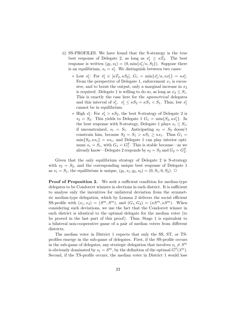- ii) SS-PROFILES. We have found that the S-strategy is the true best response of Delegate 2, as long as  $s_1^e \geq \kappa T_2$ . The best response is written  $(g_2, s_2) = (0, \min\{s_1^e/\kappa, S_2\})$ . Suppose there is an equilibrium,  $s_1 = s_1^e$ . We distinguish between two cases:
	- \* Low  $s_1^e$ : For  $s_1^e \in [\kappa T_2, \kappa S_2]$ ,  $G_1 = \min\{s_1^e/\kappa, \kappa s_1^e\} = \kappa s_1^e$ . From the perspective of Delegate 1, enforcement  $x_1$  is excessive, and to boost the output, only a marginal increase in  $x_2$ is required. Delegate 1 is willing to do so, as long as  $x_2 \leq S_1$ . This is exactly the case here for the *symmetrical* delegates and this interval of  $s_1^e$ ,  $s_1^e \leq \kappa S_2 = \kappa S_1 < S_1$ . Thus, low  $s_1^e$ cannot be in equilibrium.
	- ∗ High  $s_1^e$ : For  $s_1^e > \kappa S_2$ , the best S-strategy of Delegate 2 is  $s_2 = S_2$ . This yields to Delegate 1  $G_1 = \min\{S_2, \kappa s_1^e\}$ . In the best response with S-strategy, Delegate 1 plays  $s_1 \leq S_1$ ; if unconstrained,  $s_1 = S_1$ . Anticipating  $s_2 = S_2$  doesn't constrain him, because  $S_2 = S_1 > \kappa S_1 \geq \kappa s_1$ . Thus  $G_1 =$  $\min\{S_2,\kappa s_1\} = \kappa s_1$ , and Delegate 1 can play interior optimum  $s_1 = S_1$ , with  $G_1 = G_1^S$ . This is stable because—as we already know—Delegate 2 responds by  $s_2 = S_2$  and  $G_2 = G_2^S$ .

Given that the only equilibrium strategy of Delegate 2 is S-strategy with  $s_2 = S_2$ , and the corresponding unique best response of Delegate 1 as  $s_1 = S_1$ , the equilibrium is unique,  $(g_1, s_1, g_2, s_2) = (0, S_1, 0, S_2)$ .  $\Box$ 

Proof of Proposition 2. We seek a sufficient condition for median-type delegates to be Condorcet winners in elections in each district. It is sufficient to analyse only the incentives for unilateral deviation from the symmetric median-type delegation, which by Lemma 2 delivers the social efficient SS-profile with  $(x_1, x_2) = (S^m, S^m)$ , and  $(G_1, G_2) = (\kappa S^m, \kappa S^m)$ . When considering such deviations, we use the fact that the Condorcet winner in each district is identical to the optimal delegate for the median voter (to be proved in the last part of this proof). Thus, Stage 1 is equivalent to a bilateral non-cooperative game of a pair of median voters from different districts.

The median voter in District 1 expects that only the SS, ST, or TSprofiles emerge in the sub-game of delegates. First, if the SS-profile occurs in the sub-game of delegates, any strategic delegation that involves  $s_1 \neq S^m$ is obviously dominated by  $s_1 = S^m$ , by the definition of the optimal  $G^S(\lambda^m)$ . Second, if the TS-profile occurs, the median voter in District 1 would lose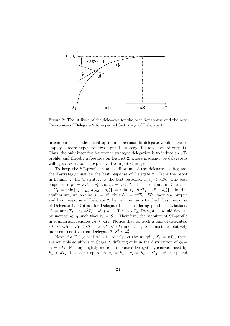

Figure 2: The utilities of the delegates for the best S-response and the best T-response of Delegate 2 to expected S-strategy of Delegate 1

in comparison to the social optimum, because its delegate would have to employ a more expensive two-input T-strategy (for any level of output). Thus, the only incentive for proper strategic delegation is to induce an STprofile, and thereby a free ride on District 2, whose median-type delegate is willing to resort to the expensive two-input strategy.

To keep the ST-profile in an equilibrium of the delegates' sub-game, the T-strategy must be the best response of Delegate 2. From the proof in Lemma 2, the T-strategy is the best response, if  $s_1^e < \kappa T_2$ . The best response is  $g_2 = \kappa T_2 - s_1^e$  and  $s_2 = T_2$ . Next, the output in District 1 is  $G_1 = \min\{s_2 + g_1, \kappa(g_2 + s_1)\} = \min\{T_2, \kappa(\kappa T_2 - s_1^e + s_1)\}.$  In this equilibrium, we require  $s_1 = s_1^e$ , thus  $G_1 = \kappa^2 T_2$ . We know the output and best response of Delegate 2, hence it remains to check best response of Delegate 1. Output for Delegate 1 is, considering possible deviations,  $G_1 = \min\{T_2 + g_1, \kappa^2 T_2 - s_1^e + s_1\}.$  If  $S_1 > \kappa T_2$ , Delegate 1 would deviate by increasing  $s_1$  such that  $x_2 = S_1$ . Therefore, the stability of ST-profile in equilibrium requires  $S_1 \leq \kappa T_2$ . Notice that for such a pair of delegates,  $\kappa T_1 < \kappa S_1 < S_1 \leq \kappa T_2$ , i.e.  $\kappa T_1 < \kappa T_2$  and Delegate 1 must be relatively more conservative than Delegate 2,  $\lambda_1^d < \lambda_2^d$ .

Next, for Delegate 1 who is exactly on the margin,  $S_1 = \kappa T_2$ , there are multiple equilibria in Stage 2, differing only in the distribution of  $g_2$  +  $s_1 = \kappa T_2$ . For any slightly more conservative Delegate 1, characterized by  $S_1 < \kappa T_2$ , the best response is  $s_1 = S_1 - g_2 = S_1 - \kappa T_2 + s_1^e < s_1^e$ , and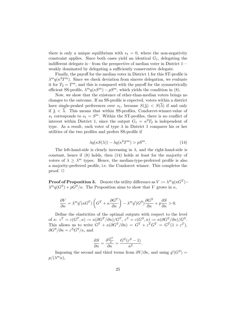there is only a unique equilibrium with  $s_1 = 0$ , where the non-negativity constraint applies. Since both cases yield an identical  $G_1$ , delegating the indifferent delegate is—from the perspective of median voter in District 1 weakly dominated by delegating a sufficiently conservative delegate.

Finally, the payoff for the median voter in District 1 for this ST-profile is  $\lambda^{m}q(\kappa^{2}T^{m})$ . Since we check deviation from sincere delegation, we evaluate it for  $T_2 = T^m$ , and this is compared with the payoff for the symmetrically efficient SS-profile,  $\lambda^m q(\kappa S^m) - pS^m$ , which yields the condition in (8).

Now, we show that the existence of other-than-median voters brings no changes to the outcome. If an SS-profile is expected, voters within a district have single-peaked preferences over  $s_1$ , because  $S(\lambda) < S(\overline{\lambda})$  if and only if  $\lambda < \overline{\lambda}$ . This means that within SS-profiles, Condorcet-winner-value of  $s_1$  corresponds to  $s_1 = S^m$ . Within the ST-profiles, there is no conflict of interest within District 1, since the output  $G_1 = \kappa^2 T_2$  is independent of type. As a result, each voter of type  $\lambda$  in District 1 compares his or her utilities of the two profiles and prefers SS-profile if

$$
\lambda q(\kappa S(\lambda)) - \lambda q(\kappa^2 T^m) > pS^m. \tag{14}
$$

The left-hand-side is clearly increasing in  $\lambda$ , and the right-hand-side is constant, hence if (8) holds, then (14) holds at least for the majority of voters of  $\lambda \geq \lambda^m$  types. Hence, the median-type-preferred profile is also a majority-preferred profile, i.e. the Condorcet winner. This completes the proof.  $\Box$ 

**Proof of Proposition 3.** Denote the utility difference as  $V := \lambda^m q(\kappa G^T) \lambda^m q(G^S) + pG^S/\kappa$ . The Proposition aims to show that V grows in  $\kappa$ ,

$$
\frac{\partial V}{\partial \kappa} = \lambda^m q' (\kappa G^T) \left( G^T + \kappa \frac{\partial G^T}{\partial \kappa} \right) - \lambda^m q' (G^S) \frac{\partial G^S}{\partial \kappa} + p \frac{\partial S}{\partial \kappa} > 0.
$$

Define the elasticities of the optimal outputs with respect to the level of  $\kappa: \ \varepsilon^T = \varepsilon(G^T, \kappa) := \kappa(\partial G^T/\partial \kappa)/G^T, \ \varepsilon^S = \varepsilon(G^S, \kappa) := \kappa(\partial G^S/\partial \kappa)/G^S.$ This allows us to write  $G^T + \kappa(\partial G^T/\partial \kappa) = G^T + \varepsilon^T G^T = G^T(1 + \varepsilon^T),$  $\partial G^S/\partial \kappa = \varepsilon^S G^S/\kappa$ , and

$$
\frac{\partial S}{\partial \kappa} = \frac{\partial \frac{G^S}{\kappa}}{\partial \kappa} = \frac{G^S(\varepsilon^S - 1)}{\kappa^2}.
$$

Imposing the second and third terms from  $\partial V/\partial \kappa$ , and using  $q'(G^S)$  =  $p/(\lambda^m\kappa),$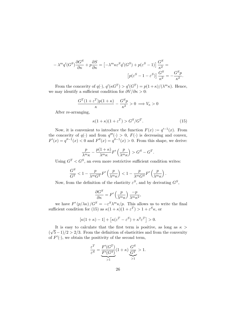$$
-\lambda^m q'(G^S) \frac{\partial G^S}{\partial \kappa} + p \frac{\partial S}{\partial \kappa} = \left[ -\lambda^m \kappa \varepsilon^S q'(G^S) + p(\varepsilon^S - 1) \right] \frac{G^S}{\kappa^2} =
$$

$$
\left[ p(\varepsilon^S - 1 - \varepsilon^S) \right] \frac{G^S}{\kappa^2} = -\frac{G^S p}{\kappa^2}.
$$

From the concavity of  $q(\cdot)$ ,  $q'(\kappa G^T) > q'(G^T) = p(1+\kappa)/(\lambda^m \kappa)$ . Hence, we may identify a sufficient condition for  $\partial V/\partial \kappa > 0$ :

$$
\frac{G^{T}(1+\varepsilon^{T})p(1+\kappa)}{\kappa} - \frac{G^{S}p}{\kappa^{2}} > 0 \implies V_{\kappa} > 0
$$

After re-arranging,

$$
\kappa(1+\kappa)(1+\varepsilon^T) > G^S/G^T. \tag{15}
$$

Now, it is convenient to introduce the function  $F(x) := q^{-1}(x)$ . From the concavity of  $q(\cdot)$  and from  $q'''(\cdot) > 0$ ,  $F(\cdot)$  is decreasing and convex,  $F'(x) = q''^{-1}(x) < 0$  and  $F''(x) = q''^{-1}(x) > 0$ . From this shape, we derive:

$$
\frac{p}{\lambda^m \kappa} - \frac{p(1+\kappa)}{\lambda^m \kappa} F'\left(\frac{p}{\lambda^m \kappa}\right) > G^S - G^T.
$$

Using  $G^T < G^S$ , an even more restrictive sufficient condition writes:

$$
\frac{G^S}{G^T} < 1 - \frac{p}{\lambda^m G^T} F'\left(\frac{p}{\lambda^m \kappa}\right) < 1 - \frac{p}{\lambda^m G^S} F'\left(\frac{p}{\lambda^m \kappa}\right).
$$

Now, from the definition of the elasticity  $\varepsilon^S$ , and by derivating  $G^S$ ,

$$
\frac{\partial G^S}{\partial \kappa} = F' \left( \frac{p}{\lambda^m \kappa} \right) \frac{-p}{\lambda^m \kappa^2},
$$

we have  $F'(p/\lambda\kappa)/G^S = -\varepsilon^S \lambda^m \kappa/p$ . This allows us to write the final sufficient condition for (15) as  $\kappa(1+\kappa)(1+\varepsilon^T) > 1+\varepsilon^S \kappa$ , or

$$
[\kappa(1+\kappa)-1] + [\kappa(\varepsilon^T - \varepsilon^S) + \kappa^2 \varepsilon^T] > 0.
$$

It is easy to calculate that the first term is positive, as long as  $\kappa$  >  $(\sqrt{5}-1)/2 > 2/3$ . From the definition of elasticities and from the convexity of  $F'(\cdot)$ , we obtain the positivity of the second term,

$$
\frac{\varepsilon^T}{\varepsilon^S} = \underbrace{\frac{F'(G^T)}{F'(G^S)}}_{>1} (1 + \kappa) \underbrace{\frac{G^S}{G^T}}_{>1} > 1.
$$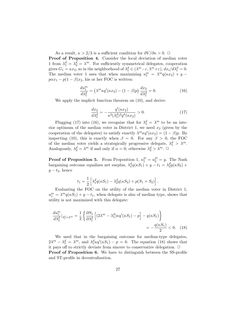As a result,  $\kappa > 2/3$  is a sufficient condition for  $\partial V/\partial \kappa > 0$ .  $\Box$ 

Proof of Proposition 4. Consider the local deviation of median voter 1 from  $\lambda_1^d = \lambda_2^d = \lambda^m$ . For sufficiently symmetrical delegates, cooperation gives  $G_1 = \kappa x_2$ , so in the neighborhood of  $\lambda_1^d \in (\lambda^m - \varepsilon, \lambda^m + \varepsilon), dx_i/d\lambda_i^d = 0$ . The median voter 1 uses that when maximizing  $u_1^m = \lambda^m q(\kappa x_2) + y$  $p\alpha x_1 - p(1-\beta)x_2$ , his or her FOC is written:

$$
\frac{du_1^m}{d\lambda_1^d} = \left(\lambda^m \kappa q'(\kappa x_2) - (1 - \beta)p\right) \frac{dx_2}{d\lambda_1^d} = 0.
$$
\n(16)

We apply the implicit function theorem on (10), and derive:

$$
\frac{dx_2}{d\lambda_1^d} = -\frac{q'(\kappa x_2)}{\kappa^2(\lambda_1^d)^2 q''(\kappa x_2)} > 0.
$$
\n(17)

Plugging (17) into (16), we recognize that for  $\lambda_1^d = \lambda^m$  to be an interior optimum of the median voter in District 1, we need  $x_2$  (given by the cooperation of the delegates) to satisfy exactly  $\lambda^m \kappa q'(\kappa x_2) = (1 - \beta)p$ . By inspecting (10), this is exactly when  $\beta = 0$ . For any  $\beta > 0$ , the FOC of the median voter yields a strategically progressive delegate,  $\lambda_1^d > \lambda^m$ . Analogously,  $\lambda_2^d = \lambda^m$  if and only if  $\alpha = 0$ ; otherwise  $\lambda_2^d > \lambda^m$ .  $\Box$ 

**Proof of Proposition 5.** From Proposition 1,  $u_1^D = u_2^D = y$ . The Nash bargaining outcome equalizes net surplus,  $\lambda_1^dq(\kappa S_1) + y - t_1 = \lambda_2^dq(\kappa S_2) +$  $y - t_2$ , hence

$$
t_1 = \frac{1}{2} \left[ \lambda_1^d q(\kappa S_1) - \lambda_2^d q(\kappa S_2) + p(S_1 + S_2) \right].
$$

Evaluating the FOC on the utility of the median voter in District 1,  $u_1^m = \lambda^m q(\kappa S_1) + y - t_1$ , when delegate is also of median type, shows that utility is not maximized with this delegate:

$$
\frac{du_1^m}{d\lambda_1^d}|_{\lambda_1^d = \lambda^m} = \frac{1}{2} \left\{ \frac{\partial S_1}{\partial \lambda_1^d} \left[ (2\lambda^m - \lambda_1^d) \kappa q'(\kappa S_1) - p \right] - q(\kappa S_1) \right\}
$$

$$
= -\frac{q(\kappa S_1)}{2} < 0. \quad (18)
$$

We used that in the bargaining outcome for median-type delegates,  $2\lambda^m - \lambda_1^d = \lambda^m$ , and  $\lambda_1^d \kappa q'(\kappa S_1) - p = 0$ . The equation (18) shows that it pays off to strictly deviate from sincere to conservative delegation.  $\Box$ Proof of Proposition 6. We have to distinguish between the SS-profile and ST-profile in decentralization.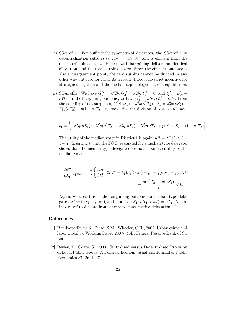- i) SS-profile. For sufficiently symmetrical delegates, the SS-profile in decentralization satisfies  $(x_1, x_2) = (S_2, S_1)$  and is efficient from the delegates' point of view. Hence, Nash bargaining delivers an identical allocation, and the total surplus is zero. Since the efficient outcome is also a disagreement point, the zero surplus cannot be divided in any other way but zero for each. As a result, there is no strict incentive for strategic delegation and the median-type delegates are in equilibrium.
- ii) ST-profile. We have  $G_1^D = \kappa^2 T_2$ ,  $G_2^D = \kappa T_2$ ,  $t_1^D = 0$ , and  $t_2^D = p(1 +$  $\kappa$ )T<sub>2</sub>. In the bargaining outcome, we have  $G_1^C = \kappa S_1, G_2^C = \kappa S_2$ . From the equality of net surpluses,  $\lambda_1^d q(\kappa S_1) - \lambda_1^d q(\kappa^2 T_2) - t_1 = \lambda_2^d q(\kappa S_2) \lambda_2^d q(\kappa T_2) + p(1+\kappa)T_2 - t_2$ , we derive the division of costs as follows:

$$
t_1 = \frac{1}{2} \left[ \lambda_1^d q(\kappa S_1) - \lambda_1^d q(\kappa^2 T_2) - \lambda_2^d q(\kappa S_2) + \lambda_2^d q(\kappa T_2) + p(S_1 + S_2 - (1 + \kappa)T_2) \right]
$$

The utility of the median voter in District 1 is again,  $u_1^m = \lambda^m q(\kappa S_1) +$  $y-t_1$ . Inserting  $t_1$  into the FOC, evaluated for a median type delegate, shows that the median-type delegate does not maximize utility of the median voter:

$$
\frac{du_1^m}{d\lambda_1^d}\Big|_{\lambda_1^d=\lambda^m} = \frac{1}{2} \left\{ \frac{\partial S_1}{\partial \lambda_d^1} \left[ (2\lambda^m - \lambda_1^d)\kappa q'(\kappa S_1) - p \right] - q(\kappa S_1) + q(\kappa^2 T_2) \right\}
$$

$$
= \frac{q(\kappa^2 T_2) - q(\kappa S_1)}{2} < 0.
$$

Again, we used this in the bargaining outcome for median-type delegates,  $\lambda_1^d \kappa q'(\kappa S_1) - p = 0$ , and moreover  $S_1 > T_1 > \kappa T_1 = \kappa T_2$ . Again, it pays off to deviate from sincere to conservative delegation.  $\Box$ 

# References

- [1] Bandyopadhyay, S., Pinto, S.M., Wheeler, C.H., 2007. Urban crime and labor mobility. Working Paper 2007-046B. Federal Reserve Bank of St. Louis.
- [2] Besley, T., Coate, S., 2003. Centralized versus Decentralized Provision of Local Public Goods: A Political Economy Analysis. Journal of Public Economics 87, 2611–37.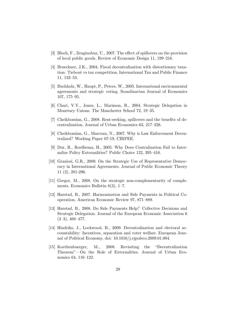- [3] Bloch, F., Zenginobuz, U., 2007. The effect of spillovers on the provision of local public goods. Review of Economic Design 11, 199–216.
- [4] Brueckner, J.K., 2004. Fiscal decentralization with distortionary taxation: Tiebout vs tax competition. International Tax and Public Finance 11, 133–53.
- [5] Buchholz, W., Haupt, P., Peters, W., 2005. International environmental agreements and strategic voting. Scandinavian Journal of Economics 107, 175–95.
- [6] Chari, V.V., Jones, L., Marimon, R., 2004. Strategic Delegation in Monetary Unions. The Manchester School 72, 19–35.
- [7] Cheikbossian, G., 2008. Rent-seeking, spillovers and the benefits of decentralization. Journal of Urban Economics 63, 217–228.
- [8] Cheikbossian, G., Marceau, N., 2007. Why is Law Enforcement Decentralized? Working Paper 07-19, CIRPEE.
- [9] Dur, R., Roelfsema, H., 2005. Why Does Centralization Fail to Internalize Policy Externalities? Public Choice 122, 395–416.
- [10] Graziosi, G.R., 2009. On the Strategic Use of Representative Democracy in International Agreements. Journal of Public Economic Theory 11 (2), 281-296.
- [11] Gregor, M., 2008. On the strategic non-complementarity of complements. Economics Bulletin 8(3), 1–7.
- [12] Harstad, B., 2007. Harmonization and Side Payments in Political Cooperation. American Economic Review 97, 871–889.
- [13] Harstad, B., 2008. Do Side Payments Help? Collective Decisions and Strategic Delegation. Journal of the European Economic Association 6  $(2-3), 468-477.$
- [14] Hindriks, J., Lockwood, B., 2009. Decentralization and electoral accountability: Incentives, separation and voter welfare. European Journal of Political Economy, doi: 10.1016/j.ejpoleco.2009.01.004.
- [15] Koethenbuerger, M., 2008. Revisiting the "Decentralization Theorem"—On the Role of Externalities. Journal of Urban Economics 64, 116–122.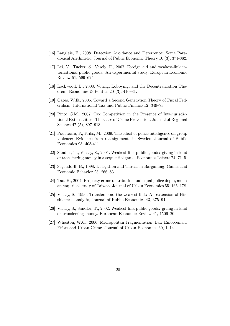- [16] Langlais, E., 2008. Detection Avoidance and Deterrence: Some Paradoxical Arithmetic. Journal of Public Economic Theory 10 (3), 371-382.
- [17] Lei, V., Tucker, S., Vesely, F., 2007. Foreign aid and weakest-link international public goods: An experimental study. European Economic Review 51, 599–624.
- [18] Lockwood, B., 2008. Voting, Lobbying, and the Decentralization Theorem. Economics & Politics 20 (3), 416–31.
- [19] Oates, W.E., 2005. Toward a Second Generation Theory of Fiscal Federalism. International Tax and Public Finance 12, 349–73.
- [20] Pinto, S.M., 2007. Tax Competition in the Presence of Interjurisdictional Externalities: The Case of Crime Prevention. Journal of Regional Science 47 (5), 897–913.
- [21] Poutvaara, P., Priks, M., 2009. The effect of police intelligence on group violence: Evidence from reassignments in Sweden. Journal of Public Economics 93, 403-411.
- [22] Sandler, T., Vicary, S., 2001. Weakest-link public goods: giving in-kind or transferring money in a sequential game. Economics Letters 74, 71–5.
- [23] Segendorff, B., 1998. Delegation and Threat in Bargaining. Games and Economic Behavior 23, 266–83.
- [24] Tao, H., 2004. Property crime distribution and equal police deployment: an empirical study of Taiwan. Journal of Urban Economics 55, 165–178.
- [25] Vicary, S., 1990. Transfers and the weakest-link: An extension of Hirshleifer's analysis, Journal of Public Economics 43, 375–94.
- [26] Vicary, S., Sandler, T., 2002. Weakest-link public goods: giving in-kind or transferring money. European Economic Review 41, 1506–20.
- [27] Wheaton, W.C., 2006. Metropolitan Fragmentation, Law Enforcement Effort and Urban Crime. Journal of Urban Economics 60, 1–14.